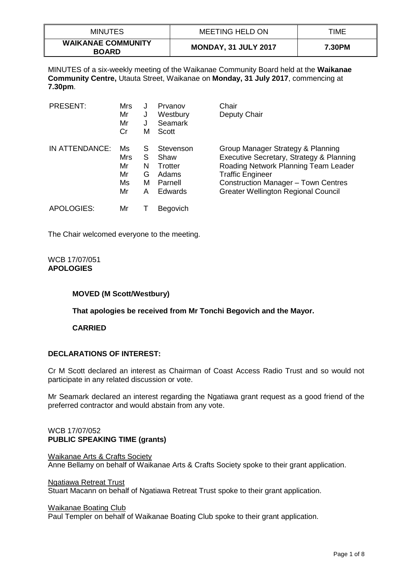| <b>MINUTES</b>                            | <b>MEETING HELD ON</b>      | TIME   |
|-------------------------------------------|-----------------------------|--------|
| <b>WAIKANAE COMMUNITY</b><br><b>BOARD</b> | <b>MONDAY, 31 JULY 2017</b> | 7.30PM |

MINUTES of a six-weekly meeting of the Waikanae Community Board held at the **Waikanae Community Centre,** Utauta Street, Waikanae on **Monday, 31 July 2017**, commencing at **7.30pm**.

| <b>PRESENT:</b> | Mrs<br>Mr<br>Mr<br>Cr             | J<br>J<br>J<br>М           | Prvanov<br>Westbury<br><b>Seamark</b><br>Scott                     | Chair<br>Deputy Chair                                                                                                                                                                                                                 |
|-----------------|-----------------------------------|----------------------------|--------------------------------------------------------------------|---------------------------------------------------------------------------------------------------------------------------------------------------------------------------------------------------------------------------------------|
| IN ATTENDANCE:  | Ms<br>Mrs<br>Mr<br>Mr<br>Ms<br>Mr | S<br>S<br>N<br>G<br>м<br>А | Stevenson<br>Shaw<br>Trotter<br>Adams<br>Parnell<br><b>Edwards</b> | Group Manager Strategy & Planning<br>Executive Secretary, Strategy & Planning<br>Roading Network Planning Team Leader<br><b>Traffic Engineer</b><br>Construction Manager - Town Centres<br><b>Greater Wellington Regional Council</b> |
| APOLOGIES:      | Mr                                |                            | Begovich                                                           |                                                                                                                                                                                                                                       |

The Chair welcomed everyone to the meeting.

#### WCB 17/07/051 **APOLOGIES**

# **MOVED (M Scott/Westbury)**

**That apologies be received from Mr Tonchi Begovich and the Mayor.**

**CARRIED**

# **DECLARATIONS OF INTEREST:**

Cr M Scott declared an interest as Chairman of Coast Access Radio Trust and so would not participate in any related discussion or vote.

Mr Seamark declared an interest regarding the Ngatiawa grant request as a good friend of the preferred contractor and would abstain from any vote.

## WCB 17/07/052 **PUBLIC SPEAKING TIME (grants)**

Waikanae Arts & Crafts Society Anne Bellamy on behalf of Waikanae Arts & Crafts Society spoke to their grant application.

Ngatiawa Retreat Trust

Stuart Macann on behalf of Ngatiawa Retreat Trust spoke to their grant application.

## Waikanae Boating Club

Paul Templer on behalf of Waikanae Boating Club spoke to their grant application.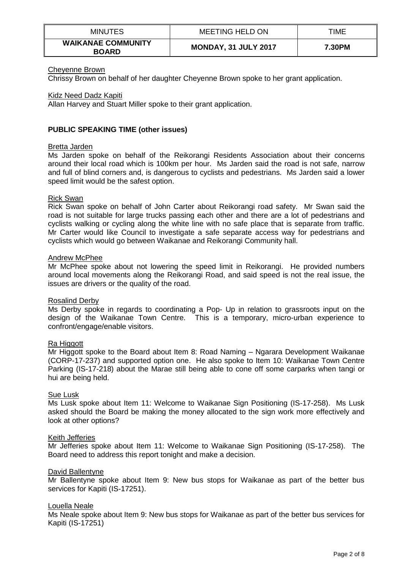| MINUTES                                   | MEETING HELD ON             | TIME   |
|-------------------------------------------|-----------------------------|--------|
| <b>WAIKANAE COMMUNITY</b><br><b>BOARD</b> | <b>MONDAY, 31 JULY 2017</b> | 7.30PM |

## Cheyenne Brown

Chrissy Brown on behalf of her daughter Cheyenne Brown spoke to her grant application.

## Kidz Need Dadz Kapiti

Allan Harvey and Stuart Miller spoke to their grant application.

## **PUBLIC SPEAKING TIME (other issues)**

## Bretta Jarden

Ms Jarden spoke on behalf of the Reikorangi Residents Association about their concerns around their local road which is 100km per hour. Ms Jarden said the road is not safe, narrow and full of blind corners and, is dangerous to cyclists and pedestrians. Ms Jarden said a lower speed limit would be the safest option.

## Rick Swan

Rick Swan spoke on behalf of John Carter about Reikorangi road safety. Mr Swan said the road is not suitable for large trucks passing each other and there are a lot of pedestrians and cyclists walking or cycling along the white line with no safe place that is separate from traffic. Mr Carter would like Council to investigate a safe separate access way for pedestrians and cyclists which would go between Waikanae and Reikorangi Community hall.

## Andrew McPhee

Mr McPhee spoke about not lowering the speed limit in Reikorangi. He provided numbers around local movements along the Reikorangi Road, and said speed is not the real issue, the issues are drivers or the quality of the road.

## Rosalind Derby

Ms Derby spoke in regards to coordinating a Pop- Up in relation to grassroots input on the design of the Waikanae Town Centre. This is a temporary, micro-urban experience to confront/engage/enable visitors.

## Ra Higgott

Mr Higgott spoke to the Board about Item 8: Road Naming – Ngarara Development Waikanae (CORP-17-237) and supported option one. He also spoke to Item 10: Waikanae Town Centre Parking (IS-17-218) about the Marae still being able to cone off some carparks when tangi or hui are being held.

## Sue Lusk

Ms Lusk spoke about Item 11: Welcome to Waikanae Sign Positioning (IS-17-258). Ms Lusk asked should the Board be making the money allocated to the sign work more effectively and look at other options?

## Keith Jefferies

Mr Jefferies spoke about Item 11: Welcome to Waikanae Sign Positioning (IS-17-258). The Board need to address this report tonight and make a decision.

## David Ballentyne

Mr Ballentyne spoke about Item 9: New bus stops for Waikanae as part of the better bus services for Kapiti (IS-17251).

## Louella Neale

Ms Neale spoke about Item 9: New bus stops for Waikanae as part of the better bus services for Kapiti (IS-17251)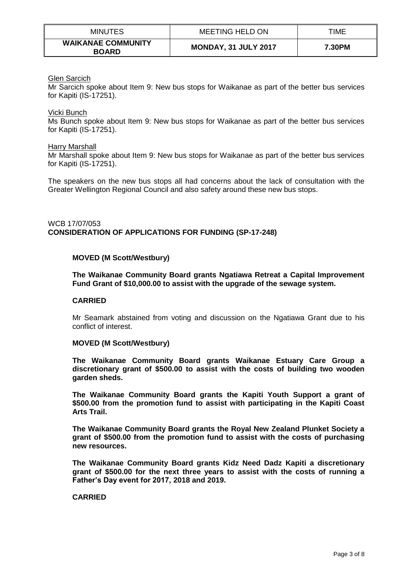| <b>MINUTES</b>                            | <b>MEETING HELD ON</b>      | TIME   |
|-------------------------------------------|-----------------------------|--------|
| <b>WAIKANAE COMMUNITY</b><br><b>BOARD</b> | <b>MONDAY, 31 JULY 2017</b> | 7.30PM |

## Glen Sarcich

Mr Sarcich spoke about Item 9: New bus stops for Waikanae as part of the better bus services for Kapiti (IS-17251).

#### Vicki Bunch

Ms Bunch spoke about Item 9: New bus stops for Waikanae as part of the better bus services for Kapiti (IS-17251).

#### Harry Marshall

Mr Marshall spoke about Item 9: New bus stops for Waikanae as part of the better bus services for Kapiti (IS-17251).

The speakers on the new bus stops all had concerns about the lack of consultation with the Greater Wellington Regional Council and also safety around these new bus stops.

## WCB 17/07/053 **CONSIDERATION OF APPLICATIONS FOR FUNDING (SP-17-248)**

## **MOVED (M Scott/Westbury)**

**The Waikanae Community Board grants Ngatiawa Retreat a Capital Improvement Fund Grant of \$10,000.00 to assist with the upgrade of the sewage system.**

## **CARRIED**

Mr Seamark abstained from voting and discussion on the Ngatiawa Grant due to his conflict of interest.

#### **MOVED (M Scott/Westbury)**

**The Waikanae Community Board grants Waikanae Estuary Care Group a discretionary grant of \$500.00 to assist with the costs of building two wooden garden sheds.**

**The Waikanae Community Board grants the Kapiti Youth Support a grant of \$500.00 from the promotion fund to assist with participating in the Kapiti Coast Arts Trail.**

**The Waikanae Community Board grants the Royal New Zealand Plunket Society a grant of \$500.00 from the promotion fund to assist with the costs of purchasing new resources.**

**The Waikanae Community Board grants Kidz Need Dadz Kapiti a discretionary grant of \$500.00 for the next three years to assist with the costs of running a Father's Day event for 2017, 2018 and 2019.**

## **CARRIED**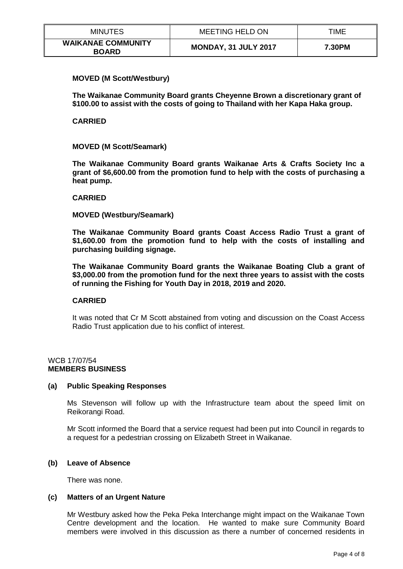| <b>MINUTES</b>                            | MEETING HELD ON             | TIME   |
|-------------------------------------------|-----------------------------|--------|
| <b>WAIKANAE COMMUNITY</b><br><b>BOARD</b> | <b>MONDAY, 31 JULY 2017</b> | 7.30PM |

## **MOVED (M Scott/Westbury)**

**The Waikanae Community Board grants Cheyenne Brown a discretionary grant of \$100.00 to assist with the costs of going to Thailand with her Kapa Haka group.**

## **CARRIED**

## **MOVED (M Scott/Seamark)**

**The Waikanae Community Board grants Waikanae Arts & Crafts Society Inc a grant of \$6,600.00 from the promotion fund to help with the costs of purchasing a heat pump.**

## **CARRIED**

#### **MOVED (Westbury/Seamark)**

**The Waikanae Community Board grants Coast Access Radio Trust a grant of \$1,600.00 from the promotion fund to help with the costs of installing and purchasing building signage.**

**The Waikanae Community Board grants the Waikanae Boating Club a grant of \$3,000.00 from the promotion fund for the next three years to assist with the costs of running the Fishing for Youth Day in 2018, 2019 and 2020.**

# **CARRIED**

It was noted that Cr M Scott abstained from voting and discussion on the Coast Access Radio Trust application due to his conflict of interest.

# WCB 17/07/54 **MEMBERS BUSINESS**

## **(a) Public Speaking Responses**

Ms Stevenson will follow up with the Infrastructure team about the speed limit on Reikorangi Road.

Mr Scott informed the Board that a service request had been put into Council in regards to a request for a pedestrian crossing on Elizabeth Street in Waikanae.

## **(b) Leave of Absence**

There was none.

## **(c) Matters of an Urgent Nature**

Mr Westbury asked how the Peka Peka Interchange might impact on the Waikanae Town Centre development and the location. He wanted to make sure Community Board members were involved in this discussion as there a number of concerned residents in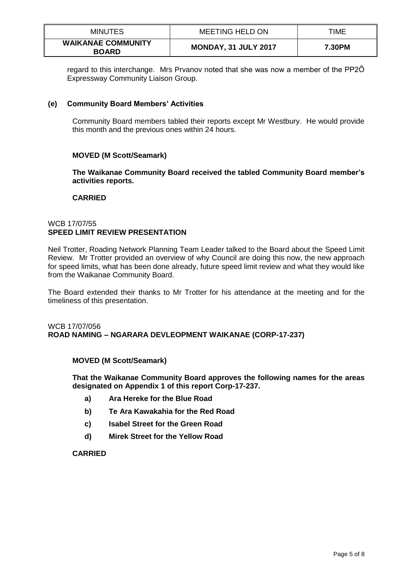| <b>MINUTES</b>                            | <b>MEETING HELD ON</b>      | TIME   |
|-------------------------------------------|-----------------------------|--------|
| <b>WAIKANAE COMMUNITY</b><br><b>BOARD</b> | <b>MONDAY, 31 JULY 2017</b> | 7.30PM |

regard to this interchange. Mrs Prvanov noted that she was now a member of the PP2Ō Expressway Community Liaison Group.

# **(e) Community Board Members' Activities**

Community Board members tabled their reports except Mr Westbury. He would provide this month and the previous ones within 24 hours.

# **MOVED (M Scott/Seamark)**

**The Waikanae Community Board received the tabled Community Board member's activities reports.**

## **CARRIED**

## WCB 17/07/55 **SPEED LIMIT REVIEW PRESENTATION**

Neil Trotter, Roading Network Planning Team Leader talked to the Board about the Speed Limit Review. Mr Trotter provided an overview of why Council are doing this now, the new approach for speed limits, what has been done already, future speed limit review and what they would like from the Waikanae Community Board.

The Board extended their thanks to Mr Trotter for his attendance at the meeting and for the timeliness of this presentation.

# WCB 17/07/056 **ROAD NAMING – NGARARA DEVLEOPMENT WAIKANAE (CORP-17-237)**

## **MOVED (M Scott/Seamark)**

**That the Waikanae Community Board approves the following names for the areas designated on Appendix 1 of this report Corp-17-237.**

- **a) Ara Hereke for the Blue Road**
- **b) Te Ara Kawakahia for the Red Road**
- **c) Isabel Street for the Green Road**
- **d) Mirek Street for the Yellow Road**

# **CARRIED**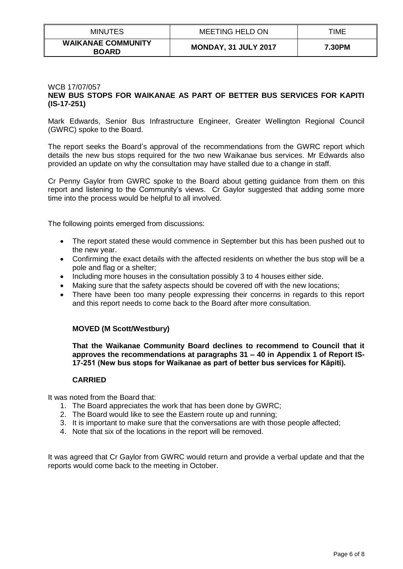| <b>MINUTES</b>                            | <b>MEETING HELD ON</b>      | TIME   |
|-------------------------------------------|-----------------------------|--------|
| <b>WAIKANAE COMMUNITY</b><br><b>BOARD</b> | <b>MONDAY, 31 JULY 2017</b> | 7.30PM |

## WCB 17/07/057 **NEW BUS STOPS FOR WAIKANAE AS PART OF BETTER BUS SERVICES FOR KAPITI (IS-17-251)**

Mark Edwards, Senior Bus Infrastructure Engineer, Greater Wellington Regional Council (GWRC) spoke to the Board.

The report seeks the Board's approval of the recommendations from the GWRC report which details the new bus stops required for the two new Waikanae bus services. Mr Edwards also provided an update on why the consultation may have stalled due to a change in staff.

Cr Penny Gaylor from GWRC spoke to the Board about getting guidance from them on this report and listening to the Community's views. Cr Gaylor suggested that adding some more time into the process would be helpful to all involved.

The following points emerged from discussions:

- The report stated these would commence in September but this has been pushed out to the new year.
- Confirming the exact details with the affected residents on whether the bus stop will be a pole and flag or a shelter;
- Including more houses in the consultation possibly 3 to 4 houses either side.
- Making sure that the safety aspects should be covered off with the new locations;
- There have been too many people expressing their concerns in regards to this report and this report needs to come back to the Board after more consultation.

## **MOVED (M Scott/Westbury)**

**That the Waikanae Community Board declines to recommend to Council that it approves the recommendations at paragraphs 31 – 40 in Appendix 1 of Report IS-17-251 (New bus stops for Waikanae as part of better bus services for Kāpiti).**

## **CARRIED**

It was noted from the Board that:

- 1. The Board appreciates the work that has been done by GWRC;
- 2. The Board would like to see the Eastern route up and running;
- 3. It is important to make sure that the conversations are with those people affected;
- 4. Note that six of the locations in the report will be removed.

It was agreed that Cr Gaylor from GWRC would return and provide a verbal update and that the reports would come back to the meeting in October.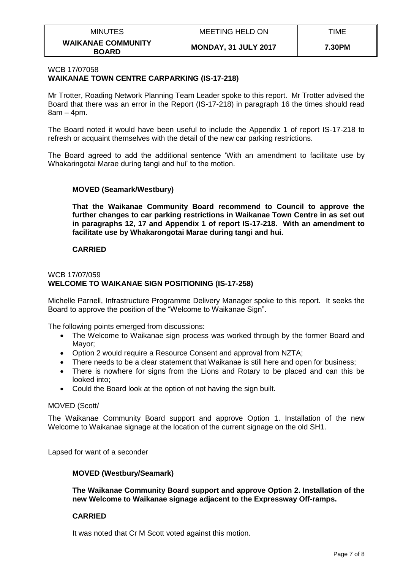| <b>MINUTES</b>                            | <b>MEETING HELD ON</b>      | TIME   |
|-------------------------------------------|-----------------------------|--------|
| <b>WAIKANAE COMMUNITY</b><br><b>BOARD</b> | <b>MONDAY, 31 JULY 2017</b> | 7.30PM |

# WCB 17/07058 **WAIKANAE TOWN CENTRE CARPARKING (IS-17-218)**

Mr Trotter, Roading Network Planning Team Leader spoke to this report. Mr Trotter advised the Board that there was an error in the Report (IS-17-218) in paragraph 16 the times should read 8am – 4pm.

The Board noted it would have been useful to include the Appendix 1 of report IS-17-218 to refresh or acquaint themselves with the detail of the new car parking restrictions.

The Board agreed to add the additional sentence 'With an amendment to facilitate use by Whakaringotai Marae during tangi and hui' to the motion.

# **MOVED (Seamark/Westbury)**

**That the Waikanae Community Board recommend to Council to approve the further changes to car parking restrictions in Waikanae Town Centre in as set out in paragraphs 12, 17 and Appendix 1 of report IS-17-218. With an amendment to facilitate use by Whakarongotai Marae during tangi and hui.**

# **CARRIED**

## WCB 17/07/059 **WELCOME TO WAIKANAE SIGN POSITIONING (IS-17-258)**

Michelle Parnell, Infrastructure Programme Delivery Manager spoke to this report. It seeks the Board to approve the position of the "Welcome to Waikanae Sign".

The following points emerged from discussions:

- The Welcome to Waikanae sign process was worked through by the former Board and Mayor;
- Option 2 would require a Resource Consent and approval from NZTA;
- There needs to be a clear statement that Waikanae is still here and open for business;
- There is nowhere for signs from the Lions and Rotary to be placed and can this be looked into;
- Could the Board look at the option of not having the sign built.

## MOVED (Scott/

The Waikanae Community Board support and approve Option 1. Installation of the new Welcome to Waikanae signage at the location of the current signage on the old SH1.

Lapsed for want of a seconder

## **MOVED (Westbury/Seamark)**

**The Waikanae Community Board support and approve Option 2. Installation of the new Welcome to Waikanae signage adjacent to the Expressway Off-ramps.**

## **CARRIED**

It was noted that Cr M Scott voted against this motion.